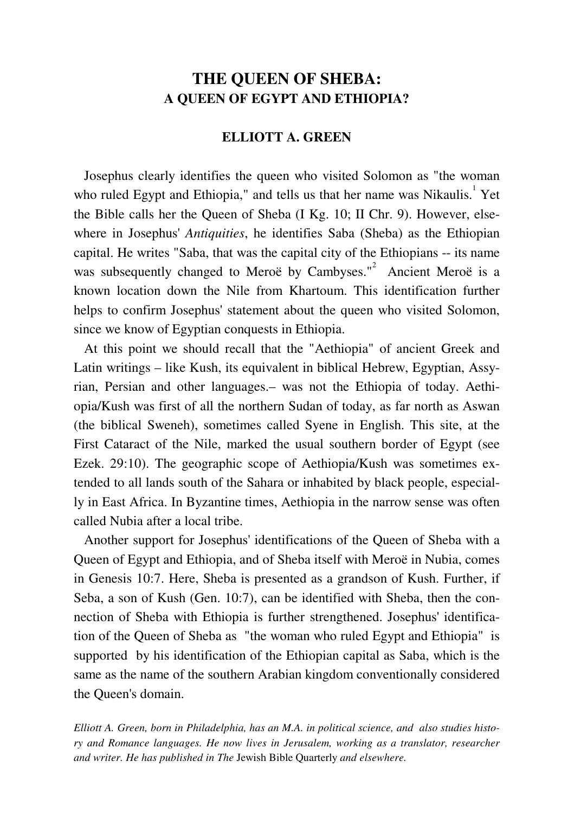## **THE QUEEN OF SHEBA: A QUEEN OF EGYPT AND ETHIOPIA?**

### **ELLIOTT A. GREEN**

 Josephus clearly identifies the queen who visited Solomon as "the woman who ruled Egypt and Ethiopia," and tells us that her name was Nikaulis.<sup>1</sup> Yet the Bible calls her the Queen of Sheba (I Kg. 10; II Chr. 9). However, elsewhere in Josephus' *Antiquities*, he identifies Saba (Sheba) as the Ethiopian capital. He writes "Saba, that was the capital city of the Ethiopians -- its name was subsequently changed to Meroë by Cambyses."<sup>2</sup> Ancient Meroë is a known location down the Nile from Khartoum. This identification further helps to confirm Josephus' statement about the queen who visited Solomon, since we know of Egyptian conquests in Ethiopia.

 At this point we should recall that the "Aethiopia" of ancient Greek and Latin writings – like Kush, its equivalent in biblical Hebrew, Egyptian, Assyrian, Persian and other languages.– was not the Ethiopia of today. Aethiopia/Kush was first of all the northern Sudan of today, as far north as Aswan (the biblical Sweneh), sometimes called Syene in English. This site, at the First Cataract of the Nile, marked the usual southern border of Egypt (see Ezek. 29:10). The geographic scope of Aethiopia/Kush was sometimes extended to all lands south of the Sahara or inhabited by black people, especially in East Africa. In Byzantine times, Aethiopia in the narrow sense was often called Nubia after a local tribe.

 Another support for Josephus' identifications of the Queen of Sheba with a Queen of Egypt and Ethiopia, and of Sheba itself with Meroë in Nubia, comes in Genesis 10:7. Here, Sheba is presented as a grandson of Kush. Further, if Seba, a son of Kush (Gen. 10:7), can be identified with Sheba, then the connection of Sheba with Ethiopia is further strengthened. Josephus' identification of the Queen of Sheba as "the woman who ruled Egypt and Ethiopia" is supported by his identification of the Ethiopian capital as Saba, which is the same as the name of the southern Arabian kingdom conventionally considered the Queen's domain.

*Elliott A. Green, born in Philadelphia, has an M.A. in political science, and also studies history and Romance languages. He now lives in Jerusalem, working as a translator, researcher and writer. He has published in The* Jewish Bible Quarterly *and elsewhere.*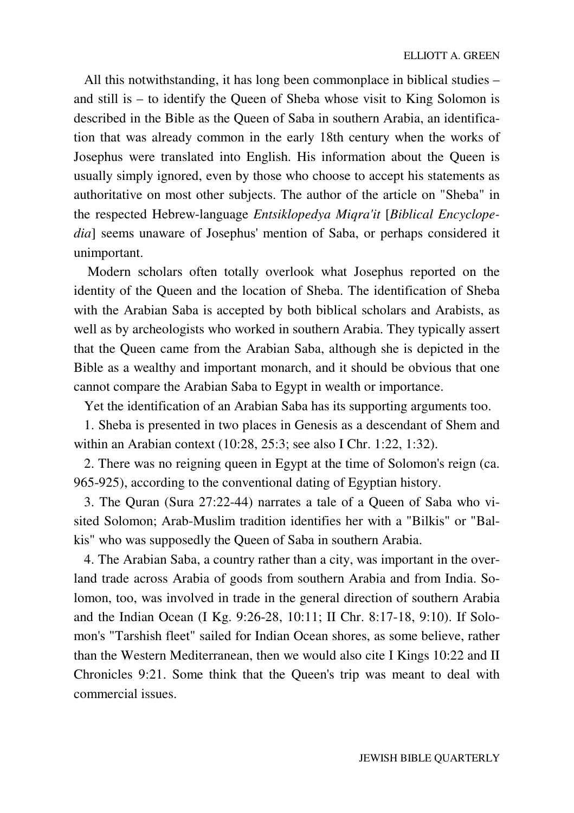All this notwithstanding, it has long been commonplace in biblical studies – and still is – to identify the Queen of Sheba whose visit to King Solomon is described in the Bible as the Queen of Saba in southern Arabia, an identification that was already common in the early 18th century when the works of Josephus were translated into English. His information about the Queen is usually simply ignored, even by those who choose to accept his statements as authoritative on most other subjects. The author of the article on "Sheba" in the respected Hebrew-language *Entsiklopedya Miqra'it* [*Biblical Encyclopedia*] seems unaware of Josephus' mention of Saba, or perhaps considered it unimportant.

 Modern scholars often totally overlook what Josephus reported on the identity of the Queen and the location of Sheba. The identification of Sheba with the Arabian Saba is accepted by both biblical scholars and Arabists, as well as by archeologists who worked in southern Arabia. They typically assert that the Queen came from the Arabian Saba, although she is depicted in the Bible as a wealthy and important monarch, and it should be obvious that one cannot compare the Arabian Saba to Egypt in wealth or importance.

Yet the identification of an Arabian Saba has its supporting arguments too.

 1. Sheba is presented in two places in Genesis as a descendant of Shem and within an Arabian context (10:28, 25:3; see also I Chr. 1:22, 1:32).

 2. There was no reigning queen in Egypt at the time of Solomon's reign (ca. 965-925), according to the conventional dating of Egyptian history.

 3. The Quran (Sura 27:22-44) narrates a tale of a Queen of Saba who visited Solomon; Arab-Muslim tradition identifies her with a "Bilkis" or "Balkis" who was supposedly the Queen of Saba in southern Arabia.

 4. The Arabian Saba, a country rather than a city, was important in the overland trade across Arabia of goods from southern Arabia and from India. Solomon, too, was involved in trade in the general direction of southern Arabia and the Indian Ocean (I Kg. 9:26-28, 10:11; II Chr. 8:17-18, 9:10). If Solomon's "Tarshish fleet" sailed for Indian Ocean shores, as some believe, rather than the Western Mediterranean, then we would also cite I Kings 10:22 and II Chronicles 9:21. Some think that the Queen's trip was meant to deal with commercial issues.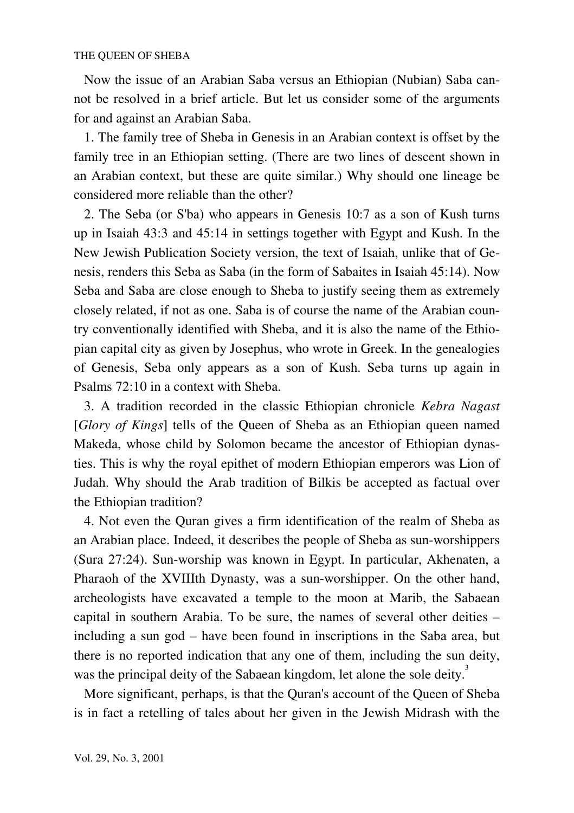Now the issue of an Arabian Saba versus an Ethiopian (Nubian) Saba cannot be resolved in a brief article. But let us consider some of the arguments for and against an Arabian Saba.

 1. The family tree of Sheba in Genesis in an Arabian context is offset by the family tree in an Ethiopian setting. (There are two lines of descent shown in an Arabian context, but these are quite similar.) Why should one lineage be considered more reliable than the other?

 2. The Seba (or S'ba) who appears in Genesis 10:7 as a son of Kush turns up in Isaiah 43:3 and 45:14 in settings together with Egypt and Kush. In the New Jewish Publication Society version, the text of Isaiah, unlike that of Genesis, renders this Seba as Saba (in the form of Sabaites in Isaiah 45:14). Now Seba and Saba are close enough to Sheba to justify seeing them as extremely closely related, if not as one. Saba is of course the name of the Arabian country conventionally identified with Sheba, and it is also the name of the Ethiopian capital city as given by Josephus, who wrote in Greek. In the genealogies of Genesis, Seba only appears as a son of Kush. Seba turns up again in Psalms 72:10 in a context with Sheba.

 3. A tradition recorded in the classic Ethiopian chronicle *Kebra Nagast* [*Glory of Kings*] tells of the Queen of Sheba as an Ethiopian queen named Makeda, whose child by Solomon became the ancestor of Ethiopian dynasties. This is why the royal epithet of modern Ethiopian emperors was Lion of Judah. Why should the Arab tradition of Bilkis be accepted as factual over the Ethiopian tradition?

 4. Not even the Quran gives a firm identification of the realm of Sheba as an Arabian place. Indeed, it describes the people of Sheba as sun-worshippers (Sura 27:24). Sun-worship was known in Egypt. In particular, Akhenaten, a Pharaoh of the XVIIIth Dynasty, was a sun-worshipper. On the other hand, archeologists have excavated a temple to the moon at Marib, the Sabaean capital in southern Arabia. To be sure, the names of several other deities – including a sun god – have been found in inscriptions in the Saba area, but there is no reported indication that any one of them, including the sun deity, was the principal deity of the Sabaean kingdom, let alone the sole deity.<sup>3</sup>

 More significant, perhaps, is that the Quran's account of the Queen of Sheba is in fact a retelling of tales about her given in the Jewish Midrash with the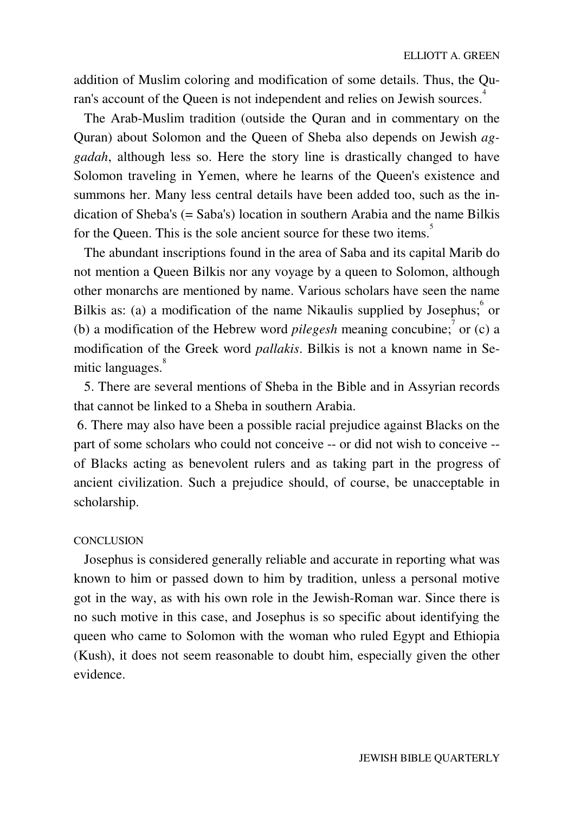addition of Muslim coloring and modification of some details. Thus, the Quran's account of the Queen is not independent and relies on Jewish sources.<sup>4</sup>

 The Arab-Muslim tradition (outside the Quran and in commentary on the Quran) about Solomon and the Queen of Sheba also depends on Jewish *aggadah*, although less so. Here the story line is drastically changed to have Solomon traveling in Yemen, where he learns of the Queen's existence and summons her. Many less central details have been added too, such as the indication of Sheba's (= Saba's) location in southern Arabia and the name Bilkis for the Queen. This is the sole ancient source for these two items.<sup>5</sup>

 The abundant inscriptions found in the area of Saba and its capital Marib do not mention a Queen Bilkis nor any voyage by a queen to Solomon, although other monarchs are mentioned by name. Various scholars have seen the name Bilkis as: (a) a modification of the name Nikaulis supplied by Josephus;  $\circ$  or (b) a modification of the Hebrew word *pilegesh* meaning concubine;<sup>7</sup> or (c) a modification of the Greek word *pallakis*. Bilkis is not a known name in Semitic languages.<sup>8</sup>

 5. There are several mentions of Sheba in the Bible and in Assyrian records that cannot be linked to a Sheba in southern Arabia.

 6. There may also have been a possible racial prejudice against Blacks on the part of some scholars who could not conceive -- or did not wish to conceive - of Blacks acting as benevolent rulers and as taking part in the progress of ancient civilization. Such a prejudice should, of course, be unacceptable in scholarship.

#### **CONCLUSION**

 Josephus is considered generally reliable and accurate in reporting what was known to him or passed down to him by tradition, unless a personal motive got in the way, as with his own role in the Jewish-Roman war. Since there is no such motive in this case, and Josephus is so specific about identifying the queen who came to Solomon with the woman who ruled Egypt and Ethiopia (Kush), it does not seem reasonable to doubt him, especially given the other evidence.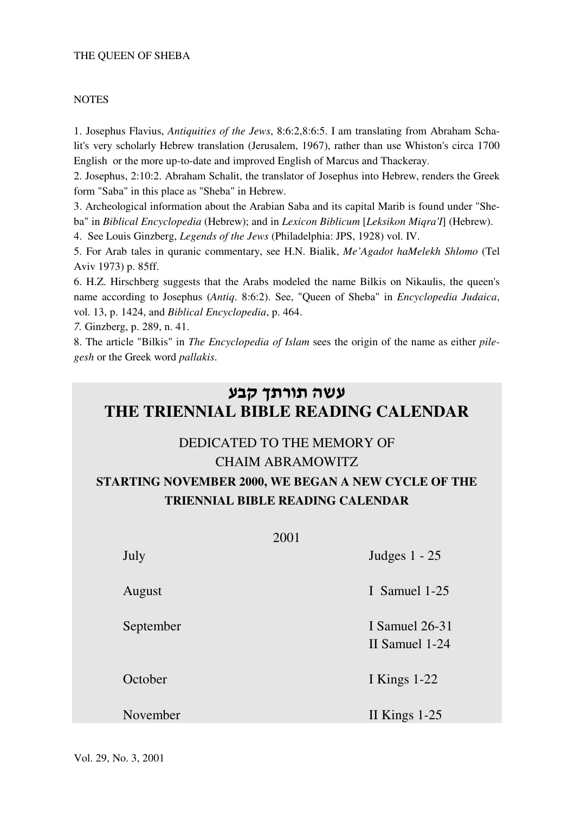#### THE QUEEN OF SHEBA

#### **NOTES**

1. Josephus Flavius, *Antiquities of the Jews*, 8:6:2,8:6:5. I am translating from Abraham Schalit's very scholarly Hebrew translation (Jerusalem, 1967), rather than use Whiston's circa 1700 English or the more up-to-date and improved English of Marcus and Thackeray.

2. Josephus, 2:10:2. Abraham Schalit, the translator of Josephus into Hebrew, renders the Greek form "Saba" in this place as "Sheba" in Hebrew.

3. Archeological information about the Arabian Saba and its capital Marib is found under "Sheba" in *Biblical Encyclopedia* (Hebrew); and in *Lexicon Biblicum* [*Leksikon Miqra'I*] (Hebrew).

4. See Louis Ginzberg, *Legends of the Jews* (Philadelphia: JPS, 1928) vol. IV.

5. For Arab tales in quranic commentary, see H.N. Bialik, *Me'Agadot haMelekh Shlomo* (Tel Aviv 1973) p. 85ff.

6. H.Z. Hirschberg suggests that the Arabs modeled the name Bilkis on Nikaulis, the queen's name according to Josephus (*Antiq*. 8:6:2). See, "Queen of Sheba" in *Encyclopedia Judaica*, vol. 13, p. 1424, and *Biblical Encyclopedia*, p. 464.

*7.* Ginzberg, p. 289, n. 41.

8. The article "Bilkis" in *The Encyclopedia of Islam* sees the origin of the name as either *pilegesh* or the Greek word *pallakis*.

# עשה תורתך קבע **THE TRIENNIAL BIBLE READING CALENDAR**

## DEDICATED TO THE MEMORY OF CHAIM ABRAMOWITZ

# **STARTING NOVEMBER 2000, WE BEGAN A NEW CYCLE OF THE TRIENNIAL BIBLE READING CALENDAR**

|           | 2001 |                                  |
|-----------|------|----------------------------------|
| July      |      | Judges $1 - 25$                  |
| August    |      | I Samuel 1-25                    |
| September |      | I Samuel 26-31<br>II Samuel 1-24 |
| October   |      | I Kings $1-22$                   |
| November  |      | II Kings $1-25$                  |